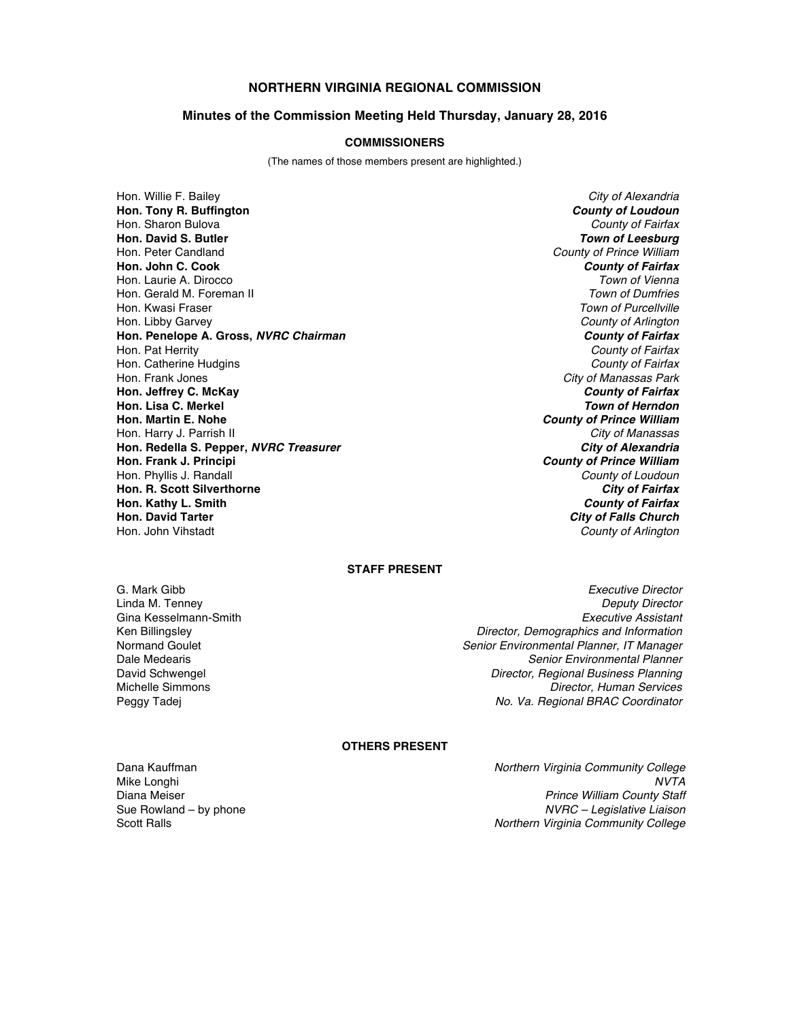## **NORTHERN VIRGINIA REGIONAL COMMISSION**

#### **Minutes of the Commission Meeting Held Thursday, January 28, 2016**

#### **COMMISSIONERS**

(The names of those members present are highlighted.)

Hon. Willie F. Bailey *City of Alexandria* **Hon. Tony R. Buffington** *County of Loudoun* Hon. Sharon Bulova *County of Fairfax* **Hon. David S. Butler** *Town of Leesburg* Hon. Peter Candland *County of Prince William* **Hon. John C. Cook** *County of Fairfax* Hon. Laurie A. Dirocco *Town of Vienna* Hon. Gerald M. Foreman II<br>Hon. Kwasi Fraser Hon. Libby Garvey *County of Arlington* **Hon. Penelope A. Gross,** *NVRC Chairman County of Fairfax* Hon. Pat Herrity *County of Fairfax* Hon. Catherine Hudgins *County of Fairfax* Hon. Frank Jones *City of Manassas Park* **Hon. Jeffrey C. McKay** *County of Fairfax* **Hon. Lisa C. Merkel <br><b>Hon. Martin E. Nohe** Hon. Harry J. Parrish II *City of Manassas* **Hon. Redella S. Pepper,** *NVRC Treasurer*<br>Hon. Frank J. Principi Hon. Phyllis J. Randall *County of Loudoun* **Hon. R. Scott Silverthorne** *City of Fairfax* **Hon. Kathy L. Smith** *County of Fairfax* **Hon. David Tarter** *City of Falls Church*

**Town of Purcellville County of Prince William County of Prince William County of Arlington** 

#### **STAFF PRESENT**

G. Mark Gibb *Executive Director* Gina Kesselmann-Smith<br>Ken Billingslev

Linda M. Tenney *Deputy Director* Ken Billingsley *Director, Demographics and Information* Normand Goulet *Senior Environmental Planner, IT Manager* **Senior Environmental Planner** David Schwengel *Director, Regional Business Planning* **Director, Human Services** Peggy Tadej *No. Va. Regional BRAC Coordinator*

#### **OTHERS PRESENT**

Dana Kauffman *Northern Virginia Community College* Mike Longhi *NVTA* Diana Meiser *Prince William County Staff* Sue Rowland – by phone *NVRC – Legislative Liaison* Scott Ralls *Northern Virginia Community College*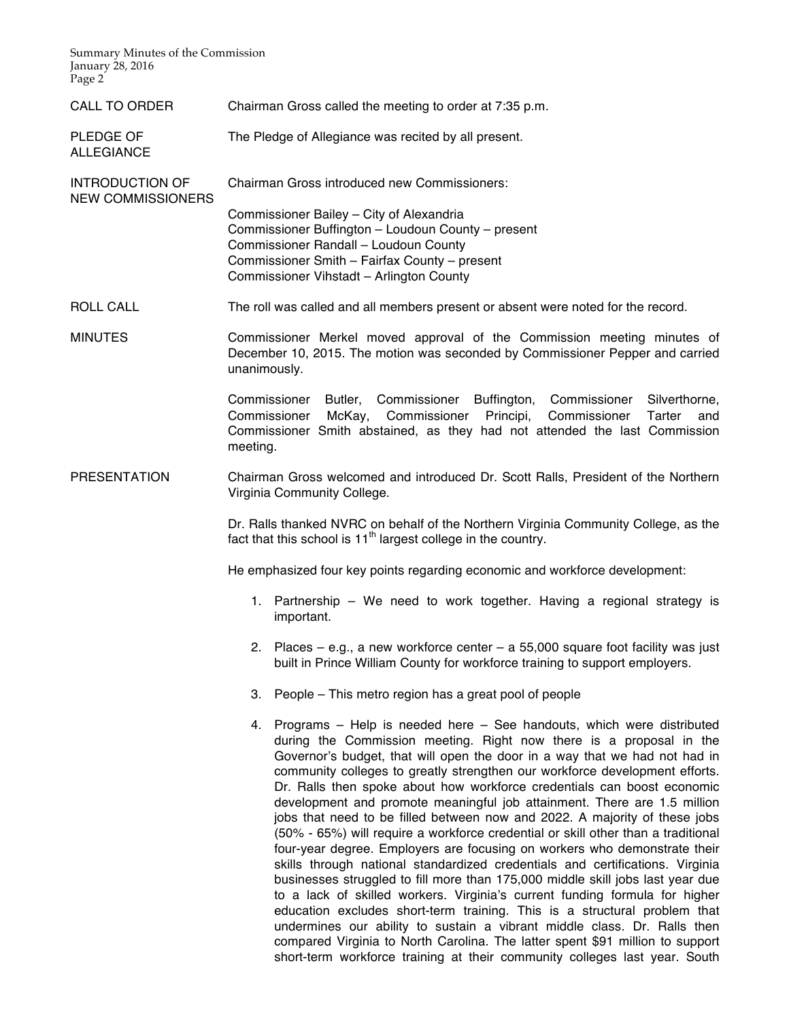Summary Minutes of the Commission January 28, 2016 Page 2<sup> $\overline{ }$ </sup>

ALLEGIANCE

- CALL TO ORDER Chairman Gross called the meeting to order at 7:35 p.m.
- PLEDGE OF The Pledge of Allegiance was recited by all present.

INTRODUCTION OF NEW COMMISSIONERS Chairman Gross introduced new Commissioners: Commissioner Bailey – City of Alexandria Commissioner Buffington – Loudoun County – present

Commissioner Randall – Loudoun County Commissioner Smith – Fairfax County – present Commissioner Vihstadt – Arlington County

ROLL CALL The roll was called and all members present or absent were noted for the record.

MINUTES Commissioner Merkel moved approval of the Commission meeting minutes of December 10, 2015. The motion was seconded by Commissioner Pepper and carried unanimously.

> Commissioner Butler, Commissioner Buffington, Commissioner Silverthorne, Commissioner McKay, Commissioner Principi, Commissioner Tarter and Commissioner Smith abstained, as they had not attended the last Commission meeting.

PRESENTATION Chairman Gross welcomed and introduced Dr. Scott Ralls, President of the Northern Virginia Community College.

> Dr. Ralls thanked NVRC on behalf of the Northern Virginia Community College, as the fact that this school is  $11<sup>th</sup>$  largest college in the country.

He emphasized four key points regarding economic and workforce development:

- 1. Partnership We need to work together. Having a regional strategy is important.
- 2. Places e.g., a new workforce center a 55,000 square foot facility was just built in Prince William County for workforce training to support employers.
- 3. People This metro region has a great pool of people
- 4. Programs Help is needed here See handouts, which were distributed during the Commission meeting. Right now there is a proposal in the Governor's budget, that will open the door in a way that we had not had in community colleges to greatly strengthen our workforce development efforts. Dr. Ralls then spoke about how workforce credentials can boost economic development and promote meaningful job attainment. There are 1.5 million jobs that need to be filled between now and 2022. A majority of these jobs (50% - 65%) will require a workforce credential or skill other than a traditional four-year degree. Employers are focusing on workers who demonstrate their skills through national standardized credentials and certifications. Virginia businesses struggled to fill more than 175,000 middle skill jobs last year due to a lack of skilled workers. Virginia's current funding formula for higher education excludes short-term training. This is a structural problem that undermines our ability to sustain a vibrant middle class. Dr. Ralls then compared Virginia to North Carolina. The latter spent \$91 million to support short-term workforce training at their community colleges last year. South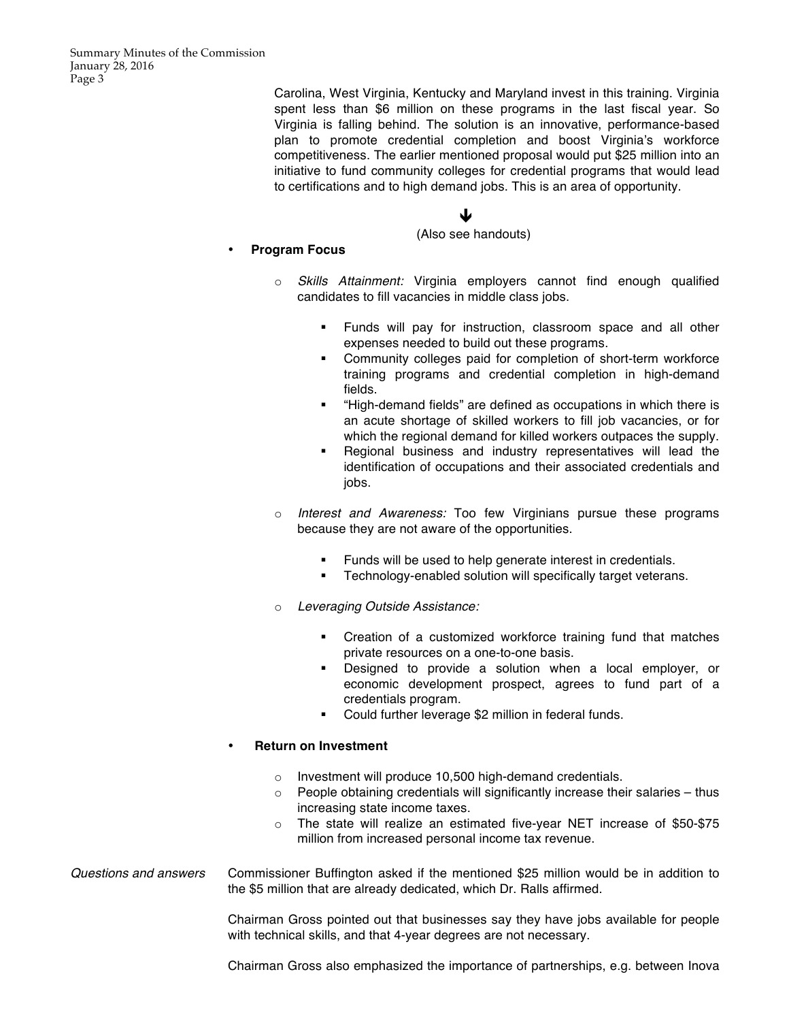Carolina, West Virginia, Kentucky and Maryland invest in this training. Virginia spent less than \$6 million on these programs in the last fiscal year. So Virginia is falling behind. The solution is an innovative, performance-based plan to promote credential completion and boost Virginia's workforce competitiveness. The earlier mentioned proposal would put \$25 million into an initiative to fund community colleges for credential programs that would lead to certifications and to high demand jobs. This is an area of opportunity.

# $\blacklozenge$

(Also see handouts)

# • **Program Focus**

- Skills Attainment: Virginia employers cannot find enough qualified candidates to fill vacancies in middle class jobs.
	- § Funds will pay for instruction, classroom space and all other expenses needed to build out these programs.
	- § Community colleges paid for completion of short-term workforce training programs and credential completion in high-demand fields.
	- § "High-demand fields" are defined as occupations in which there is an acute shortage of skilled workers to fill job vacancies, or for which the regional demand for killed workers outpaces the supply.
	- § Regional business and industry representatives will lead the identification of occupations and their associated credentials and jobs.
- o *Interest and Awareness:* Too few Virginians pursue these programs because they are not aware of the opportunities.
	- **•** Funds will be used to help generate interest in credentials.
	- **•** Technology-enabled solution will specifically target veterans.
- o *Leveraging Outside Assistance:*
	- § Creation of a customized workforce training fund that matches private resources on a one-to-one basis.
	- § Designed to provide a solution when a local employer, or economic development prospect, agrees to fund part of a credentials program.
	- Could further leverage \$2 million in federal funds.

## • **Return on Investment**

- o Investment will produce 10,500 high-demand credentials.
- $\circ$  People obtaining credentials will significantly increase their salaries thus increasing state income taxes.
- o The state will realize an estimated five-year NET increase of \$50-\$75 million from increased personal income tax revenue.

*Questions and answers* Commissioner Buffington asked if the mentioned \$25 million would be in addition to the \$5 million that are already dedicated, which Dr. Ralls affirmed.

> Chairman Gross pointed out that businesses say they have jobs available for people with technical skills, and that 4-year degrees are not necessary.

> Chairman Gross also emphasized the importance of partnerships, e.g. between Inova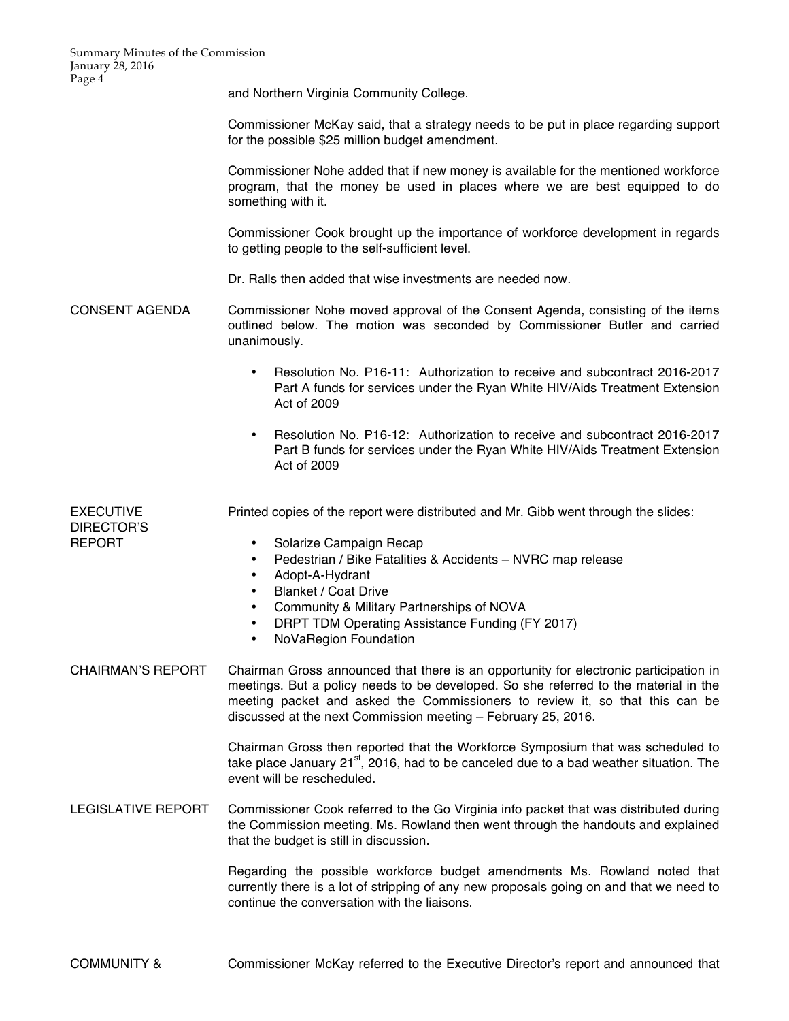and Northern Virginia Community College.

Commissioner McKay said, that a strategy needs to be put in place regarding support for the possible \$25 million budget amendment.

Commissioner Nohe added that if new money is available for the mentioned workforce program, that the money be used in places where we are best equipped to do something with it.

Commissioner Cook brought up the importance of workforce development in regards to getting people to the self-sufficient level.

Dr. Ralls then added that wise investments are needed now.

- CONSENT AGENDA Commissioner Nohe moved approval of the Consent Agenda, consisting of the items outlined below. The motion was seconded by Commissioner Butler and carried unanimously.
	- Resolution No. P16-11: Authorization to receive and subcontract 2016-2017 Part A funds for services under the Ryan White HIV/Aids Treatment Extension Act of 2009
	- Resolution No. P16-12: Authorization to receive and subcontract 2016-2017 Part B funds for services under the Ryan White HIV/Aids Treatment Extension Act of 2009

| <b>EXECUTIVE</b> | Printed copies of the report were distributed and Mr. Gibb went through the slides: |
|------------------|-------------------------------------------------------------------------------------|
| DIRECTOR'S       |                                                                                     |
| <b>REPORT</b>    | Solarize Campaign Recap                                                             |
|                  | Pedestrian / Bike Fatalities & Accidents – NVRC map release                         |
|                  | Adopt-A-Hydrant                                                                     |

- Blanket / Coat Drive
- Community & Military Partnerships of NOVA
- DRPT TDM Operating Assistance Funding (FY 2017)
- NoVaRegion Foundation
- CHAIRMAN'S REPORT Chairman Gross announced that there is an opportunity for electronic participation in meetings. But a policy needs to be developed. So she referred to the material in the meeting packet and asked the Commissioners to review it, so that this can be discussed at the next Commission meeting – February 25, 2016.

Chairman Gross then reported that the Workforce Symposium that was scheduled to take place January  $21^{st}$ , 2016, had to be canceled due to a bad weather situation. The event will be rescheduled.

LEGISLATIVE REPORT Commissioner Cook referred to the Go Virginia info packet that was distributed during the Commission meeting. Ms. Rowland then went through the handouts and explained that the budget is still in discussion.

> Regarding the possible workforce budget amendments Ms. Rowland noted that currently there is a lot of stripping of any new proposals going on and that we need to continue the conversation with the liaisons.